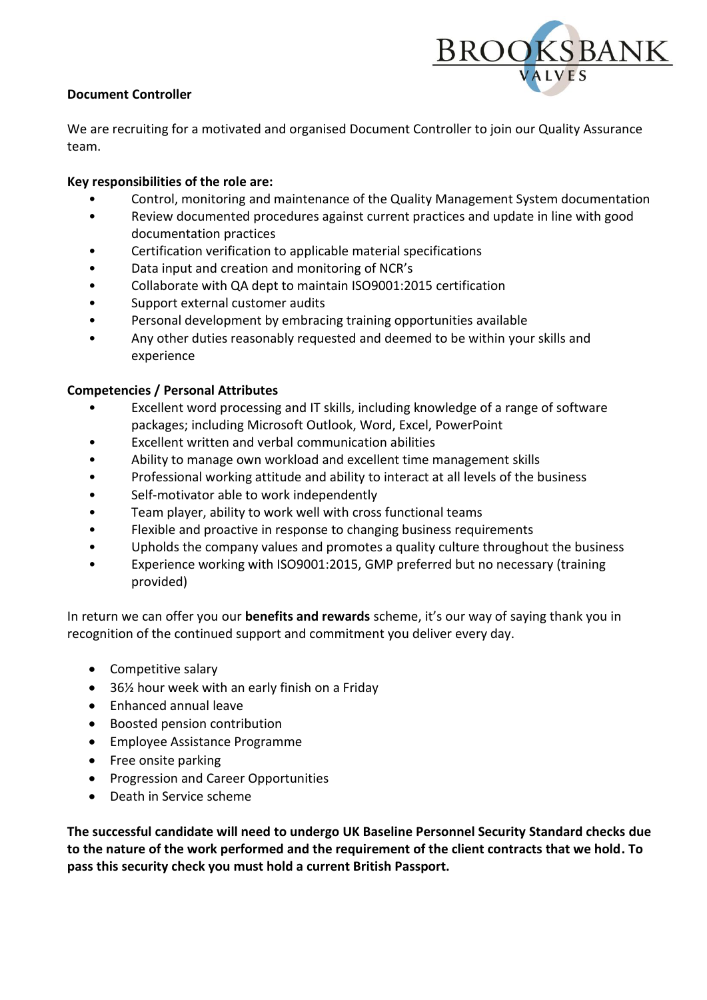

## **Document Controller**

We are recruiting for a motivated and organised Document Controller to join our Quality Assurance team.

## **Key responsibilities of the role are:**

- Control, monitoring and maintenance of the Quality Management System documentation
- Review documented procedures against current practices and update in line with good documentation practices
- Certification verification to applicable material specifications
- Data input and creation and monitoring of NCR's
- Collaborate with QA dept to maintain ISO9001:2015 certification
- Support external customer audits
- Personal development by embracing training opportunities available
- Any other duties reasonably requested and deemed to be within your skills and experience

## **Competencies / Personal Attributes**

- Excellent word processing and IT skills, including knowledge of a range of software packages; including Microsoft Outlook, Word, Excel, PowerPoint
- Excellent written and verbal communication abilities
- Ability to manage own workload and excellent time management skills
- Professional working attitude and ability to interact at all levels of the business
- Self-motivator able to work independently
- Team player, ability to work well with cross functional teams
- Flexible and proactive in response to changing business requirements
- Upholds the company values and promotes a quality culture throughout the business
- Experience working with ISO9001:2015, GMP preferred but no necessary (training provided)

In return we can offer you our **benefits and rewards** scheme, it's our way of saying thank you in recognition of the continued support and commitment you deliver every day.

- Competitive salary
- 36½ hour week with an early finish on a Friday
- Enhanced annual leave
- Boosted pension contribution
- Employee Assistance Programme
- Free onsite parking
- Progression and Career Opportunities
- Death in Service scheme

**The successful candidate will need to undergo UK Baseline Personnel Security Standard checks due to the nature of the work performed and the requirement of the client contracts that we hold. To pass this security check you must hold a current British Passport.**